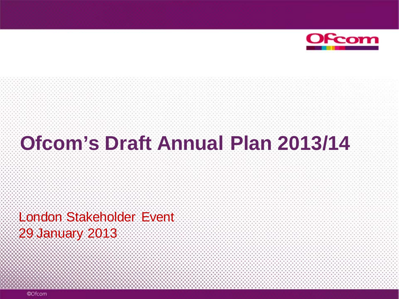

# **Ofcom's Draft Annual Plan 2013/14**

London Stakeholder Event 29 January 2013

©Ofcom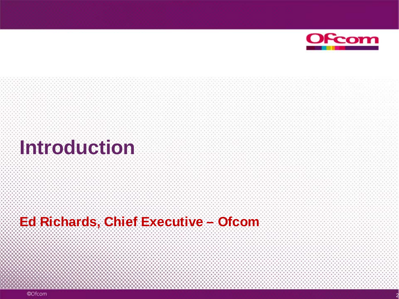

2

# **Introduction**

## **Ed Richards, Chief Executive – Ofcom**

©Ofcom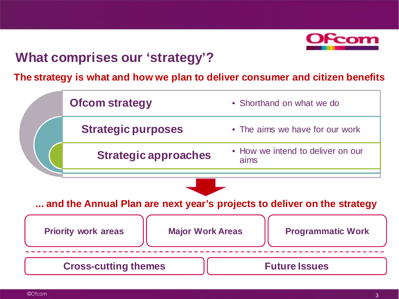

## **What comprises our 'strategy'?**

#### **The strategy is what and how we plan to deliver consumer and citizen benefits**

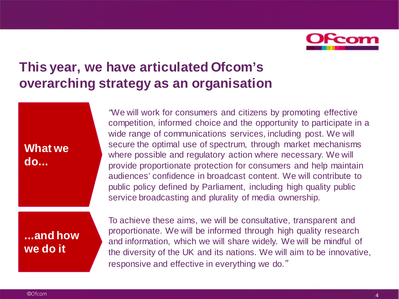

## **This year, we have articulated Ofcom's overarching strategy as an organisation**

#### **What we do...**

*"*We will work for consumers and citizens by promoting effective competition, informed choice and the opportunity to participate in a wide range of communications services, including post. We will secure the optimal use of spectrum, through market mechanisms where possible and regulatory action where necessary. We will provide proportionate protection for consumers and help maintain audiences' confidence in broadcast content. We will contribute to public policy defined by Parliament, including high quality public service broadcasting and plurality of media ownership.

#### **...and how we do it**

To achieve these aims, we will be consultative, transparent and proportionate. We will be informed through high quality research and information, which we will share widely. We will be mindful of the diversity of the UK and its nations. We will aim to be innovative, responsive and effective in everything we do*."*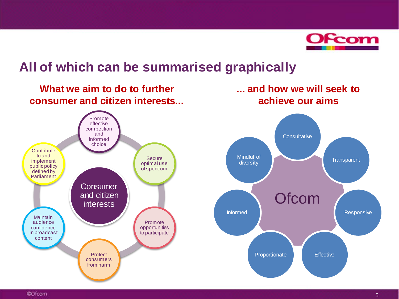

### **All of which can be summarised graphically**

#### **What we aim to do to further consumer and citizen interests...**

**... and how we will seek to achieve our aims**



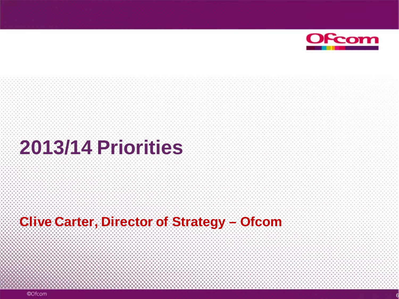

# **2013/14 Priorities**

## **Clive Carter, Director of Strategy – Ofcom**

©Ofcom

6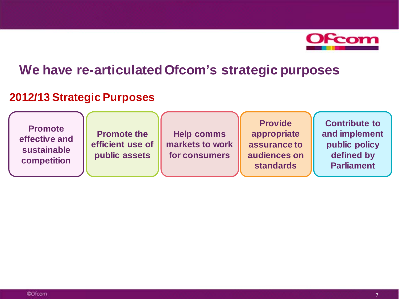

### **We have re-articulated Ofcom's strategic purposes**

#### **2012/13 Strategic Purposes**

**Promote effective and sustainable competition**

**Promote the efficient use of public assets**

**Help comms markets to work for consumers** 

**Provide appropriate assurance to audiences on standards**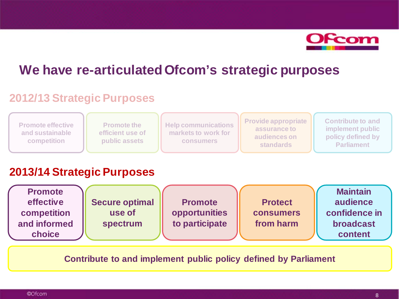

## **We have re-articulated Ofcom's strategic purposes**

#### **2012/13 Strategic Purposes**

| <b>Promote effective</b><br>and sustainable<br>competition | <b>Promote the</b><br>efficient use of<br><b>public assets</b> | <b>Help communications</b><br>markets to work for<br><b>consumers</b> | <b>Provide appropriate</b><br>assurance to<br>audiences on<br><b>standards</b> | <b>Contribute to and</b><br>implement public<br>policy defined by<br><b>Parliament</b> |
|------------------------------------------------------------|----------------------------------------------------------------|-----------------------------------------------------------------------|--------------------------------------------------------------------------------|----------------------------------------------------------------------------------------|
|                                                            |                                                                |                                                                       |                                                                                |                                                                                        |

#### **2013/14 Strategic Purposes**

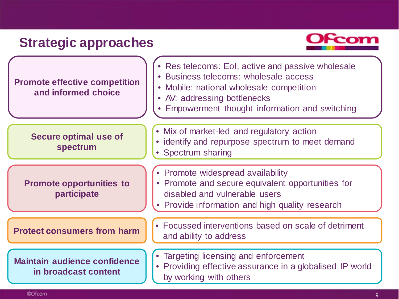## **Strategic approaches**



| <b>Promote effective competition</b><br>and informed choice | • Res telecoms: EoI, active and passive wholesale<br>· Business telecoms: wholesale access<br>• Mobile: national wholesale competition<br>• AV: addressing bottlenecks<br>• Empowerment thought information and switching |
|-------------------------------------------------------------|---------------------------------------------------------------------------------------------------------------------------------------------------------------------------------------------------------------------------|
| <b>Secure optimal use of</b><br>spectrum                    | • Mix of market-led and regulatory action<br>• identify and repurpose spectrum to meet demand<br>• Spectrum sharing                                                                                                       |
| <b>Promote opportunities to</b><br>participate              | • Promote widespread availability<br>• Promote and secure equivalent opportunities for<br>disabled and vulnerable users<br>• Provide information and high quality research                                                |
| <b>Protect consumers from harm</b>                          | • Focussed interventions based on scale of detriment<br>and ability to address                                                                                                                                            |
| <b>Maintain audience confidence</b><br>in broadcast content | • Targeting licensing and enforcement<br>• Providing effective assurance in a globalised IP world<br>by working with others                                                                                               |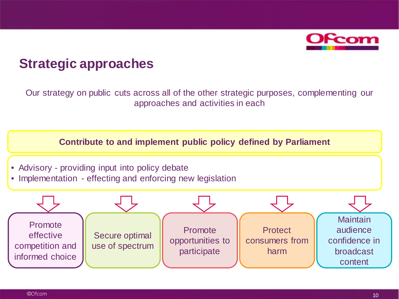

### **Strategic approaches**

Our strategy on public cuts across all of the other strategic purposes, complementing our approaches and activities in each

- Advisory providing input into policy debate
- Implementation effecting and enforcing new legislation

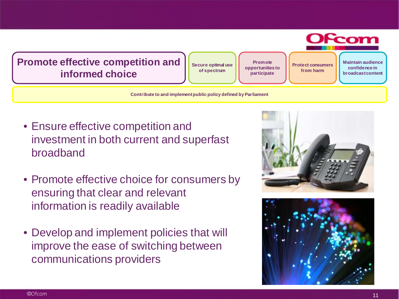

- Ensure effective competition and investment in both current and superfast broadband
- Promote effective choice for consumers by ensuring that clear and relevant information is readily available
- Develop and implement policies that will improve the ease of switching between communications providers



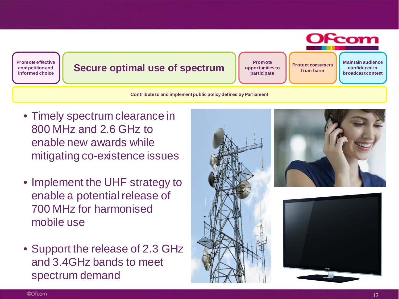**OFcom Promote effective Promote Maintain audience broad Secure optimal use of spectrum Protect Consumers Secure optimal use of spectrum Protect Consumers opportunities to confidence in competition and from harm informed choice participate**

- Timely spectrum clearance in 800 MHz and 2.6 GHz to enable new awards while mitigating co-existence issues
- Implement the UHF strategy to enable a potential release of 700 MHz for harmonised mobile use
- Support the release of 2.3 GHz and 3.4GHz bands to meet spectrum demand



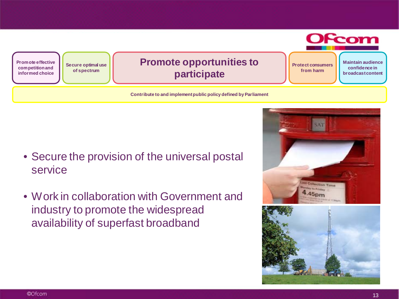

- Secure the provision of the universal postal service
- Work in collaboration with Government and industry to promote the widespread availability of superfast broadband



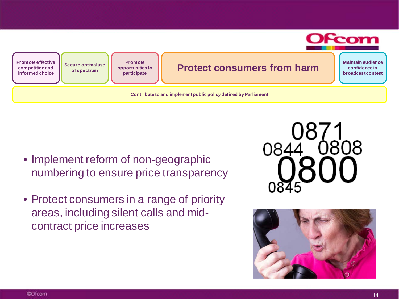

- Implement reform of non-geographic numbering to ensure price transparency
- Protect consumers in a range of priority areas, including silent calls and midcontract price increases



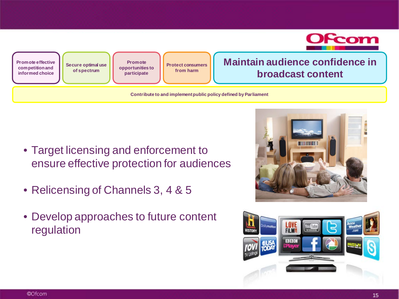

- Target licensing and enforcement to ensure effective protection for audiences
- Relicensing of Channels 3, 4 & 5
- Develop approaches to future content regulation



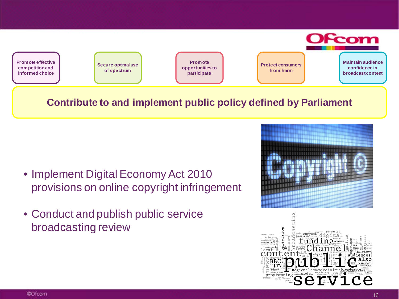

- Implement Digital Economy Act 2010 provisions on online copyright infringement
- Conduct and publish public service broadcasting review



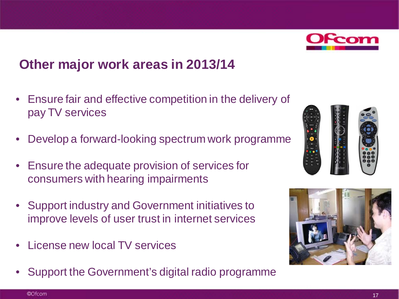

## **Other major work areas in 2013/14**

- Ensure fair and effective competition in the delivery of pay TV services
- Develop a forward-looking spectrum work programme
- Ensure the adequate provision of services for consumers with hearing impairments
- Support industry and Government initiatives to improve levels of user trust in internet services
- License new local TV services
- Support the Government's digital radio programme



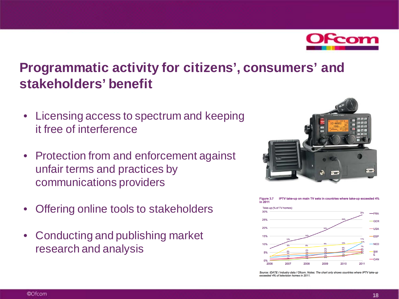

## **Programmatic activity for citizens', consumers' and stakeholders' benefit**

- Licensing access to spectrum and keeping it free of interference
- Protection from and enforcement against unfair terms and practices by communications providers
- Offering online tools to stakeholders
- Conducting and publishing market research and analysis





Source: IDATE / industry data / Ofcom. Notes: The chart only shows countries where IPTV take-up exceeded 4% of television homes in 2011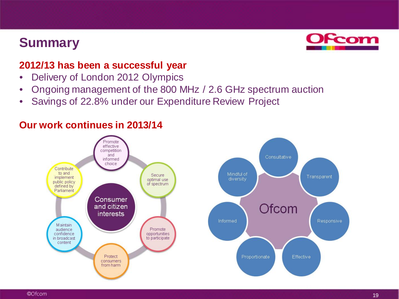## **Summary**



#### **2012/13 has been a successful year**

- Delivery of London 2012 Olympics
- Ongoing management of the 800 MHz / 2.6 GHz spectrum auction
- Savings of 22.8% under our Expenditure Review Project



#### **Our work continues in 2013/14**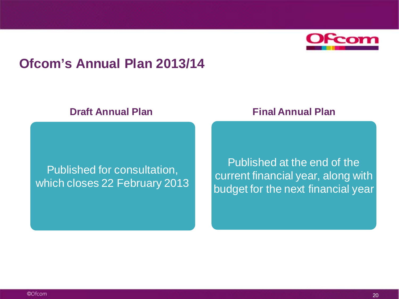

#### **Ofcom's Annual Plan 2013/14**

#### Published for consultation, which closes 22 February 2013

**Draft Annual Plan Final Annual Plan** 

Published at the end of the current financial year, along with budget for the next financial year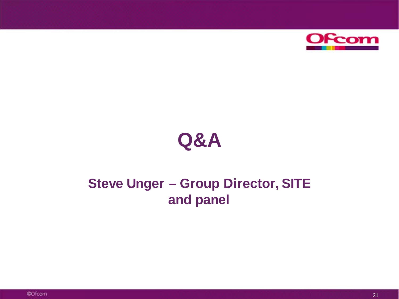

# **Q&A**

## **Steve Unger – Group Director, SITE and panel**